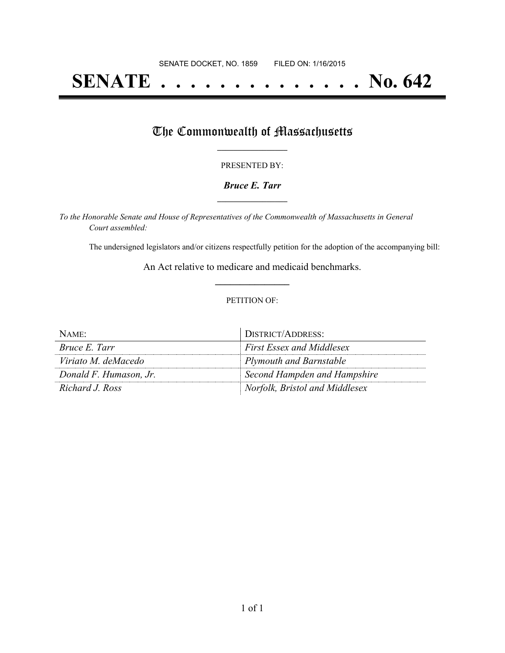# **SENATE . . . . . . . . . . . . . . No. 642**

## The Commonwealth of Massachusetts

#### PRESENTED BY:

#### *Bruce E. Tarr* **\_\_\_\_\_\_\_\_\_\_\_\_\_\_\_\_\_**

*To the Honorable Senate and House of Representatives of the Commonwealth of Massachusetts in General Court assembled:*

The undersigned legislators and/or citizens respectfully petition for the adoption of the accompanying bill:

An Act relative to medicare and medicaid benchmarks. **\_\_\_\_\_\_\_\_\_\_\_\_\_\_\_**

#### PETITION OF:

| NAME:                  | DISTRICT/ADDRESS:                |
|------------------------|----------------------------------|
| Bruce E. Tarr          | <b>First Essex and Middlesex</b> |
| Viriato M. deMacedo    | Plymouth and Barnstable          |
| Donald F. Humason, Jr. | Second Hampden and Hampshire     |
| Richard J. Ross        | Norfolk, Bristol and Middlesex   |